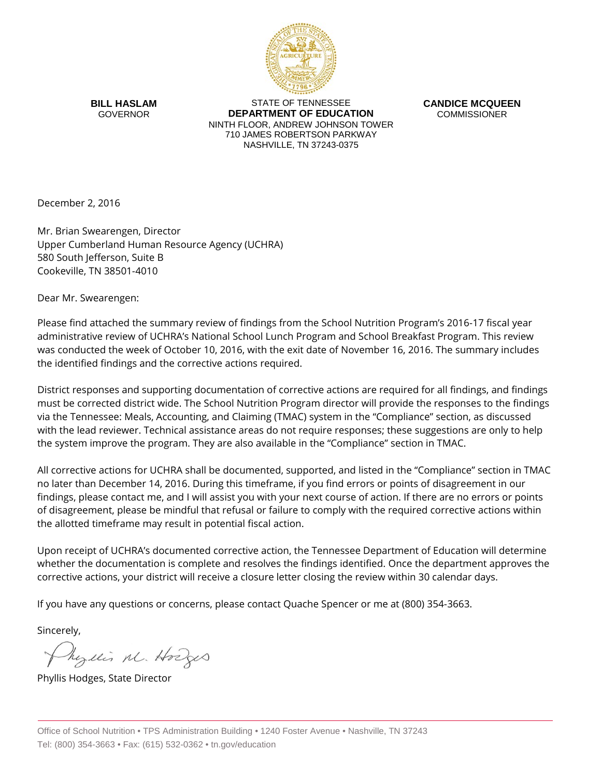

**BILL HASLAM** GOVERNOR

STATE OF TENNESSEE **DEPARTMENT OF EDUCATION** NINTH FLOOR, ANDREW JOHNSON TOWER 710 JAMES ROBERTSON PARKWAY NASHVILLE, TN 37243-0375

**CANDICE MCQUEEN** COMMISSIONER

December 2, 2016

Mr. Brian Swearengen, Director Upper Cumberland Human Resource Agency (UCHRA) 580 South Jefferson, Suite B Cookeville, TN 38501-4010

Dear Mr. Swearengen:

Please find attached the summary review of findings from the School Nutrition Program's 2016-17 fiscal year administrative review of UCHRA's National School Lunch Program and School Breakfast Program. This review was conducted the week of October 10, 2016, with the exit date of November 16, 2016. The summary includes the identified findings and the corrective actions required.

District responses and supporting documentation of corrective actions are required for all findings, and findings must be corrected district wide. The School Nutrition Program director will provide the responses to the findings via the Tennessee: Meals, Accounting, and Claiming (TMAC) system in the "Compliance" section, as discussed with the lead reviewer. Technical assistance areas do not require responses; these suggestions are only to help the system improve the program. They are also available in the "Compliance" section in TMAC.

All corrective actions for UCHRA shall be documented, supported, and listed in the "Compliance" section in TMAC no later than December 14, 2016. During this timeframe, if you find errors or points of disagreement in our findings, please contact me, and I will assist you with your next course of action. If there are no errors or points of disagreement, please be mindful that refusal or failure to comply with the required corrective actions within the allotted timeframe may result in potential fiscal action.

Upon receipt of UCHRA's documented corrective action, the Tennessee Department of Education will determine whether the documentation is complete and resolves the findings identified. Once the department approves the corrective actions, your district will receive a closure letter closing the review within 30 calendar days.

If you have any questions or concerns, please contact Quache Spencer or me at (800) 354-3663.

Sincerely,

Physics M. Hodges

Phyllis Hodges, State Director